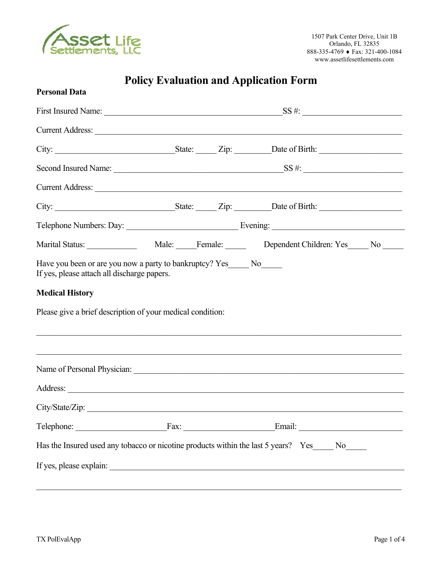

# **Policy Evaluation and Application Form**

| <b>Personal Data</b>                                                                 |  |                                                                                                                                                                       |  |
|--------------------------------------------------------------------------------------|--|-----------------------------------------------------------------------------------------------------------------------------------------------------------------------|--|
|                                                                                      |  |                                                                                                                                                                       |  |
|                                                                                      |  | Current Address: Note and Address and Address and Address and Address and Address and Address and Address and A                                                       |  |
|                                                                                      |  |                                                                                                                                                                       |  |
|                                                                                      |  |                                                                                                                                                                       |  |
|                                                                                      |  | Current Address:                                                                                                                                                      |  |
|                                                                                      |  |                                                                                                                                                                       |  |
|                                                                                      |  |                                                                                                                                                                       |  |
|                                                                                      |  |                                                                                                                                                                       |  |
| <b>Medical History</b><br>Please give a brief description of your medical condition: |  | ,我们也不能在这里的人,我们也不能在这里的人,我们也不能在这里的人,我们也不能在这里的人,我们也不能在这里的人,我们也不能在这里的人,我们也不能在这里的人,我们也<br>,我们也不能在这里的时候,我们也不能在这里的时候,我们也不能不能不能不能不能不能不能不能不能不能不能不能不能不能。""我们的是我们的,我们也不能不能不能不能不能 |  |
|                                                                                      |  |                                                                                                                                                                       |  |
|                                                                                      |  |                                                                                                                                                                       |  |
| City/State/Zip:                                                                      |  |                                                                                                                                                                       |  |
|                                                                                      |  | Telephone: Fax: Fax: Email: Email:                                                                                                                                    |  |
|                                                                                      |  | Has the Insured used any tobacco or nicotine products within the last 5 years? Yes_____ No_____                                                                       |  |
|                                                                                      |  |                                                                                                                                                                       |  |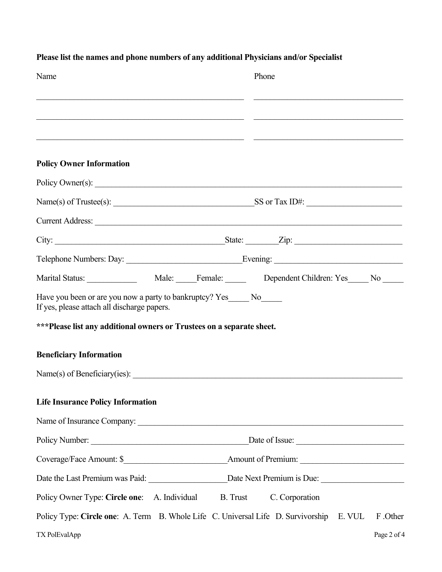| Name                                                                                                                  | Phone                                                                                                                                                                                                                         |
|-----------------------------------------------------------------------------------------------------------------------|-------------------------------------------------------------------------------------------------------------------------------------------------------------------------------------------------------------------------------|
|                                                                                                                       | the control of the control of the control of the control of the control of the control of the control of the control of the control of the control of the control of the control of the control of the control of the control |
|                                                                                                                       | <u> 1999 - Johann John Stone, fransk politiker (f. 1989)</u>                                                                                                                                                                  |
| <b>Policy Owner Information</b>                                                                                       |                                                                                                                                                                                                                               |
|                                                                                                                       | Policy Owner(s):                                                                                                                                                                                                              |
|                                                                                                                       |                                                                                                                                                                                                                               |
|                                                                                                                       | Current Address: et al. 2016. The contract of the contract of the contract of the contract of the contract of the contract of the contract of the contract of the contract of the contract of the contract of the contract of |
|                                                                                                                       | City: $\frac{\text{City:}}{\text{List:}}$                                                                                                                                                                                     |
|                                                                                                                       |                                                                                                                                                                                                                               |
|                                                                                                                       |                                                                                                                                                                                                                               |
| Have you been or are you now a party to bankruptcy? Yes______ No______<br>If yes, please attach all discharge papers. |                                                                                                                                                                                                                               |
| ***Please list any additional owners or Trustees on a separate sheet.                                                 |                                                                                                                                                                                                                               |
| <b>Beneficiary Information</b>                                                                                        |                                                                                                                                                                                                                               |
|                                                                                                                       |                                                                                                                                                                                                                               |
| <b>Life Insurance Policy Information</b>                                                                              |                                                                                                                                                                                                                               |
|                                                                                                                       |                                                                                                                                                                                                                               |
|                                                                                                                       |                                                                                                                                                                                                                               |
|                                                                                                                       |                                                                                                                                                                                                                               |
|                                                                                                                       |                                                                                                                                                                                                                               |
|                                                                                                                       | Policy Owner Type: Circle one: A. Individual B. Trust C. Corporation                                                                                                                                                          |
|                                                                                                                       | Policy Type: Circle one: A. Term B. Whole Life C. Universal Life D. Survivorship E. VUL<br>F .Other                                                                                                                           |
| TX PolEvalApp                                                                                                         | Page 2 of 4                                                                                                                                                                                                                   |

### **Please list the names and phone numbers of any additional Physicians and/or Specialist**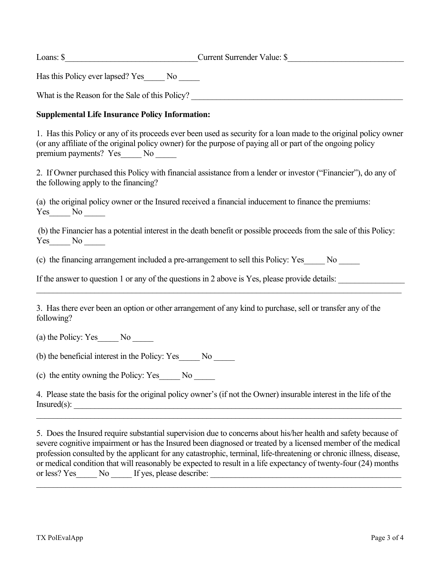Loans: \$\_\_\_\_\_\_\_\_\_\_\_\_\_\_\_\_\_\_\_\_\_\_\_\_\_\_\_\_\_\_\_\_Current Surrender Value: \$\_\_\_\_\_\_\_\_\_\_\_\_\_\_\_\_\_\_\_\_\_\_\_\_\_\_\_\_

Has this Policy ever lapsed? Yes\_\_\_\_\_ No \_\_\_\_\_

What is the Reason for the Sale of this Policy?

#### **Supplemental Life Insurance Policy Information:**

1. Has this Policy or any of its proceeds ever been used as security for a loan made to the original policy owner (or any affiliate of the original policy owner) for the purpose of paying all or part of the ongoing policy premium payments? Yes\_\_\_\_\_ No \_\_\_\_\_

2. If Owner purchased this Policy with financial assistance from a lender or investor ("Financier"), do any of the following apply to the financing?

(a) the original policy owner or the Insured received a financial inducement to finance the premiums: Yes No

(b) the Financier has a potential interest in the death benefit or possible proceeds from the sale of this Policy:  $Yes$  No  $\_\_$ 

 $\_$  , and the contribution of the contribution of the contribution of the contribution of the contribution of  $\mathcal{L}_\text{max}$ 

(c) the financing arrangement included a pre-arrangement to sell this Policy: Yes\_\_\_\_\_ No \_\_\_\_\_

If the answer to question 1 or any of the questions in 2 above is Yes, please provide details:

3. Has there ever been an option or other arrangement of any kind to purchase, sell or transfer any of the following?

(a) the Policy: Yes No

(b) the beneficial interest in the Policy: Yes\_\_\_\_\_ No \_\_\_\_\_

(c) the entity owning the Policy: Yes\_\_\_\_\_ No \_\_\_\_\_

4. Please state the basis for the original policy owner's (if not the Owner) insurable interest in the life of the  $Insured(s):$ 

 $\_$ 

5. Does the Insured require substantial supervision due to concerns about his/her health and safety because of severe cognitive impairment or has the Insured been diagnosed or treated by a licensed member of the medical profession consulted by the applicant for any catastrophic, terminal, life-threatening or chronic illness, disease, or medical condition that will reasonably be expected to result in a life expectancy of twenty-four (24) months or less? Yes No If yes, please describe:

 $\mathcal{L}_\mathcal{L} = \{ \mathcal{L}_\mathcal{L} = \{ \mathcal{L}_\mathcal{L} = \{ \mathcal{L}_\mathcal{L} = \{ \mathcal{L}_\mathcal{L} = \{ \mathcal{L}_\mathcal{L} = \{ \mathcal{L}_\mathcal{L} = \{ \mathcal{L}_\mathcal{L} = \{ \mathcal{L}_\mathcal{L} = \{ \mathcal{L}_\mathcal{L} = \{ \mathcal{L}_\mathcal{L} = \{ \mathcal{L}_\mathcal{L} = \{ \mathcal{L}_\mathcal{L} = \{ \mathcal{L}_\mathcal{L} = \{ \mathcal{L}_\mathcal{$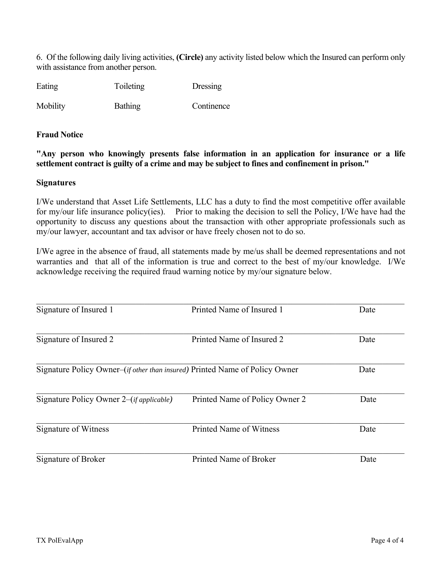6. Of the following daily living activities, **(Circle)** any activity listed below which the Insured can perform only with assistance from another person.

| Eating | Toileting | Dressing |
|--------|-----------|----------|
|--------|-----------|----------|

Mobility Bathing Continence

#### **Fraud Notice**

**"Any person who knowingly presents false information in an application for insurance or a life settlement contract is guilty of a crime and may be subject to fines and confinement in prison."** 

#### **Signatures**

I/We understand that Asset Life Settlements, LLC has a duty to find the most competitive offer available for my/our life insurance policy(ies). Prior to making the decision to sell the Policy, I/We have had the opportunity to discuss any questions about the transaction with other appropriate professionals such as my/our lawyer, accountant and tax advisor or have freely chosen not to do so.

I/We agree in the absence of fraud, all statements made by me/us shall be deemed representations and not warranties and that all of the information is true and correct to the best of my/our knowledge. I/We acknowledge receiving the required fraud warning notice by my/our signature below.

| Signature of Insured 1                                                               | Printed Name of Insured 1      | Date |
|--------------------------------------------------------------------------------------|--------------------------------|------|
| Signature of Insured 2                                                               | Printed Name of Insured 2      | Date |
| Signature Policy Owner–( <i>if other than insured</i> ) Printed Name of Policy Owner |                                | Date |
| Signature Policy Owner 2–( <i>if applicable</i> )                                    | Printed Name of Policy Owner 2 | Date |
| Signature of Witness                                                                 | Printed Name of Witness        | Date |
| Signature of Broker                                                                  | Printed Name of Broker         | Date |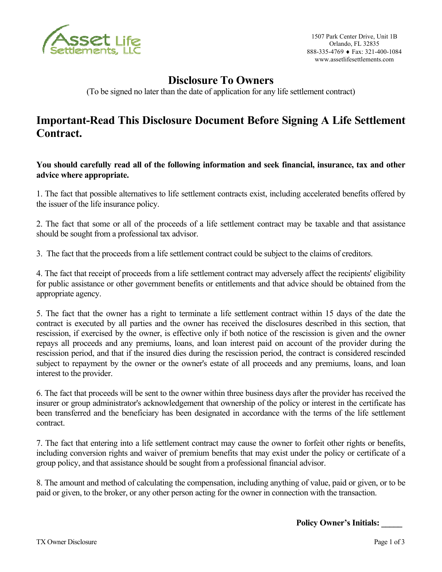

1507 Park Center Drive, Unit 1B Orlando, FL 32835 888-335-4769 Fax: 321-400-1084 www.assetlifesettlements.com

## **Disclosure To Owners**

(To be signed no later than the date of application for any life settlement contract)

### **Important-Read This Disclosure Document Before Signing A Life Settlement Contract.**

**You should carefully read all of the following information and seek financial, insurance, tax and other advice where appropriate.**

1. The fact that possible alternatives to life settlement contracts exist, including accelerated benefits offered by the issuer of the life insurance policy.

2. The fact that some or all of the proceeds of a life settlement contract may be taxable and that assistance should be sought from a professional tax advisor.

3. The fact that the proceeds from a life settlement contract could be subject to the claims of creditors.

4. The fact that receipt of proceeds from a life settlement contract may adversely affect the recipients' eligibility for public assistance or other government benefits or entitlements and that advice should be obtained from the appropriate agency.

5. The fact that the owner has a right to terminate a life settlement contract within 15 days of the date the contract is executed by all parties and the owner has received the disclosures described in this section, that rescission, if exercised by the owner, is effective only if both notice of the rescission is given and the owner repays all proceeds and any premiums, loans, and loan interest paid on account of the provider during the rescission period, and that if the insured dies during the rescission period, the contract is considered rescinded subject to repayment by the owner or the owner's estate of all proceeds and any premiums, loans, and loan interest to the provider.

6. The fact that proceeds will be sent to the owner within three business days after the provider has received the insurer or group administrator's acknowledgement that ownership of the policy or interest in the certificate has been transferred and the beneficiary has been designated in accordance with the terms of the life settlement contract.

7. The fact that entering into a life settlement contract may cause the owner to forfeit other rights or benefits, including conversion rights and waiver of premium benefits that may exist under the policy or certificate of a group policy, and that assistance should be sought from a professional financial advisor.

8. The amount and method of calculating the compensation, including anything of value, paid or given, or to be paid or given, to the broker, or any other person acting for the owner in connection with the transaction.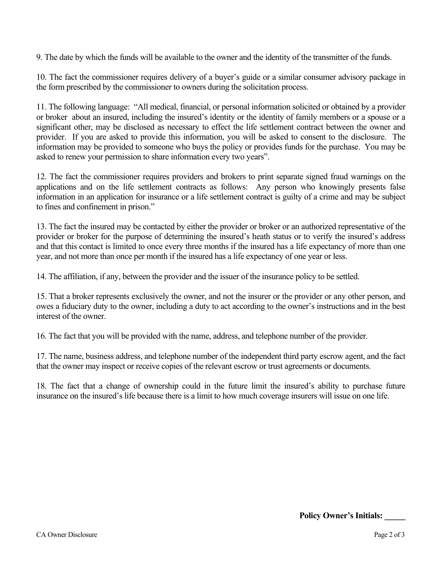9. The date by which the funds will be available to the owner and the identity of the transmitter of the funds.

10. The fact the commissioner requires delivery of a buyer's guide or a similar consumer advisory package in the form prescribed by the commissioner to owners during the solicitation process.

11. The following language: "All medical, financial, or personal information solicited or obtained by a provider or broker about an insured, including the insured's identity or the identity of family members or a spouse or a significant other, may be disclosed as necessary to effect the life settlement contract between the owner and provider. If you are asked to provide this information, you will be asked to consent to the disclosure. The information may be provided to someone who buys the policy or provides funds for the purchase. You may be asked to renew your permission to share information every two years".

12. The fact the commissioner requires providers and brokers to print separate signed fraud warnings on the applications and on the life settlement contracts as follows: Any person who knowingly presents false information in an application for insurance or a life settlement contract is guilty of a crime and may be subject to fines and confinement in prison."

13. The fact the insured may be contacted by either the provider or broker or an authorized representative of the provider or broker for the purpose of determining the insured's heath status or to verify the insured's address and that this contact is limited to once every three months if the insured has a life expectancy of more than one year, and not more than once per month if the insured has a life expectancy of one year or less.

14. The affiliation, if any, between the provider and the issuer of the insurance policy to be settled.

15. That a broker represents exclusively the owner, and not the insurer or the provider or any other person, and owes a fiduciary duty to the owner, including a duty to act according to the owner's instructions and in the best interest of the owner.

16. The fact that you will be provided with the name, address, and telephone number of the provider.

17. The name, business address, and telephone number of the independent third party escrow agent, and the fact that the owner may inspect or receive copies of the relevant escrow or trust agreements or documents.

18. The fact that a change of ownership could in the future limit the insured's ability to purchase future insurance on the insured's life because there is a limit to how much coverage insurers will issue on one life.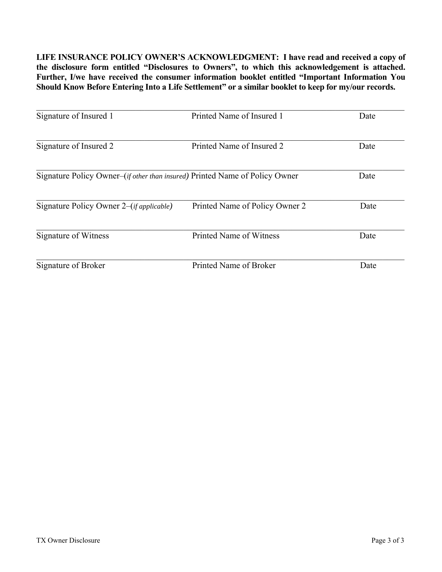**LIFE INSURANCE POLICY OWNER'S ACKNOWLEDGMENT: I have read and received a copy of the disclosure form entitled "Disclosures to Owners", to which this acknowledgement is attached. Further, I/we have received the consumer information booklet entitled "Important Information You Should Know Before Entering Into a Life Settlement" or a similar booklet to keep for my/our records.**

| Signature of Insured 1                                                               | Printed Name of Insured 1      | Date |
|--------------------------------------------------------------------------------------|--------------------------------|------|
| Signature of Insured 2                                                               | Printed Name of Insured 2      | Date |
| Signature Policy Owner–( <i>if other than insured</i> ) Printed Name of Policy Owner |                                | Date |
| Signature Policy Owner 2–( <i>if applicable</i> )                                    | Printed Name of Policy Owner 2 | Date |
| Signature of Witness                                                                 | Printed Name of Witness        | Date |
| Signature of Broker                                                                  | Printed Name of Broker         | Date |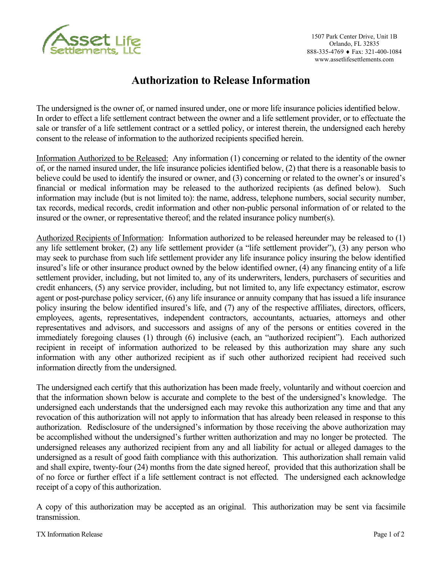

### **Authorization to Release Information**

The undersigned is the owner of, or named insured under, one or more life insurance policies identified below. In order to effect a life settlement contract between the owner and a life settlement provider, or to effectuate the sale or transfer of a life settlement contract or a settled policy, or interest therein, the undersigned each hereby consent to the release of information to the authorized recipients specified herein.

Information Authorized to be Released: Any information (1) concerning or related to the identity of the owner of, or the named insured under, the life insurance policies identified below, (2) that there is a reasonable basis to believe could be used to identify the insured or owner, and (3) concerning or related to the owner's or insured's financial or medical information may be released to the authorized recipients (as defined below). Such information may include (but is not limited to): the name, address, telephone numbers, social security number, tax records, medical records, credit information and other non-public personal information of or related to the insured or the owner, or representative thereof; and the related insurance policy number(s).

Authorized Recipients of Information: Information authorized to be released hereunder may be released to (1) any life settlement broker, (2) any life settlement provider (a "life settlement provider"), (3) any person who may seek to purchase from such life settlement provider any life insurance policy insuring the below identified insured's life or other insurance product owned by the below identified owner, (4) any financing entity of a life settlement provider, including, but not limited to, any of its underwriters, lenders, purchasers of securities and credit enhancers, (5) any service provider, including, but not limited to, any life expectancy estimator, escrow agent or post-purchase policy servicer, (6) any life insurance or annuity company that has issued a life insurance policy insuring the below identified insured's life, and (7) any of the respective affiliates, directors, officers, employees, agents, representatives, independent contractors, accountants, actuaries, attorneys and other representatives and advisors, and successors and assigns of any of the persons or entities covered in the immediately foregoing clauses (1) through (6) inclusive (each, an "authorized recipient"). Each authorized recipient in receipt of information authorized to be released by this authorization may share any such information with any other authorized recipient as if such other authorized recipient had received such information directly from the undersigned.

The undersigned each certify that this authorization has been made freely, voluntarily and without coercion and that the information shown below is accurate and complete to the best of the undersigned's knowledge. The undersigned each understands that the undersigned each may revoke this authorization any time and that any revocation of this authorization will not apply to information that has already been released in response to this authorization. Redisclosure of the undersigned's information by those receiving the above authorization may be accomplished without the undersigned's further written authorization and may no longer be protected. The undersigned releases any authorized recipient from any and all liability for actual or alleged damages to the undersigned as a result of good faith compliance with this authorization. This authorization shall remain valid and shall expire, twenty-four (24) months from the date signed hereof, provided that this authorization shall be of no force or further effect if a life settlement contract is not effected. The undersigned each acknowledge receipt of a copy of this authorization.

A copy of this authorization may be accepted as an original. This authorization may be sent via facsimile transmission.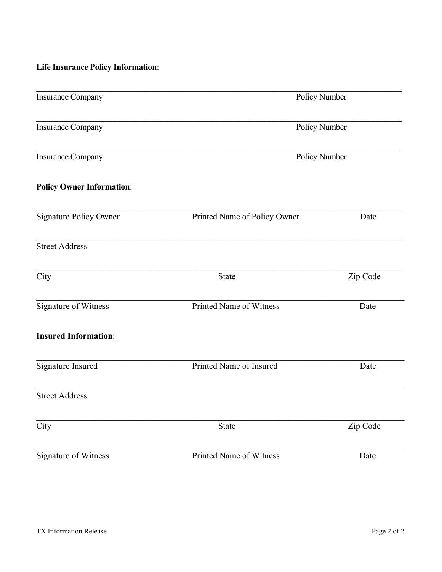### **Life Insurance Policy Information**:

| <b>Insurance Company</b>         | Policy Number                |          |  |
|----------------------------------|------------------------------|----------|--|
| <b>Insurance Company</b>         | Policy Number                |          |  |
| <b>Insurance Company</b>         | Policy Number                |          |  |
| <b>Policy Owner Information:</b> |                              |          |  |
| <b>Signature Policy Owner</b>    | Printed Name of Policy Owner | Date     |  |
| <b>Street Address</b>            |                              |          |  |
| City                             | State                        | Zip Code |  |
| Signature of Witness             | Printed Name of Witness      | Date     |  |
| <b>Insured Information:</b>      |                              |          |  |
| Signature Insured                | Printed Name of Insured      | Date     |  |
| <b>Street Address</b>            |                              |          |  |
| City                             | State                        | Zip Code |  |
| Signature of Witness             | Printed Name of Witness      | Date     |  |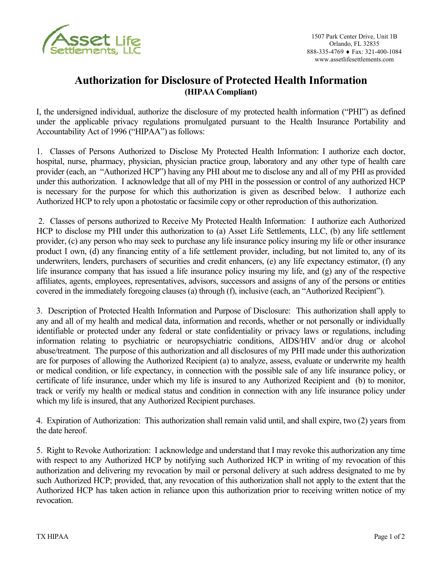

### **Authorization for Disclosure of Protected Health Information (HIPAA Compliant)**

I, the undersigned individual, authorize the disclosure of my protected health information ("PHI") as defined under the applicable privacy regulations promulgated pursuant to the Health Insurance Portability and Accountability Act of 1996 ("HIPAA") as follows:

1. Classes of Persons Authorized to Disclose My Protected Health Information: I authorize each doctor, hospital, nurse, pharmacy, physician, physician practice group, laboratory and any other type of health care provider (each, an "Authorized HCP") having any PHI about me to disclose any and all of my PHI as provided under this authorization. I acknowledge that all of my PHI in the possession or control of any authorized HCP is necessary for the purpose for which this authorization is given as described below. I authorize each Authorized HCP to rely upon a photostatic or facsimile copy or other reproduction of this authorization.

 2. Classes of persons authorized to Receive My Protected Health Information: I authorize each Authorized HCP to disclose my PHI under this authorization to (a) Asset Life Settlements, LLC, (b) any life settlement provider, (c) any person who may seek to purchase any life insurance policy insuring my life or other insurance product I own, (d) any financing entity of a life settlement provider, including, but not limited to, any of its underwriters, lenders, purchasers of securities and credit enhancers, (e) any life expectancy estimator, (f) any life insurance company that has issued a life insurance policy insuring my life, and (g) any of the respective affiliates, agents, employees, representatives, advisors, successors and assigns of any of the persons or entities covered in the immediately foregoing clauses (a) through (f), inclusive (each, an "Authorized Recipient").

3. Description of Protected Health Information and Purpose of Disclosure: This authorization shall apply to any and all of my health and medical data, information and records, whether or not personally or individually identifiable or protected under any federal or state confidentiality or privacy laws or regulations, including information relating to psychiatric or neuropsychiatric conditions, AIDS/HIV and/or drug or alcohol abuse/treatment. The purpose of this authorization and all disclosures of my PHI made under this authorization are for purposes of allowing the Authorized Recipient (a) to analyze, assess, evaluate or underwrite my health or medical condition, or life expectancy, in connection with the possible sale of any life insurance policy, or certificate of life insurance, under which my life is insured to any Authorized Recipient and (b) to monitor, track or verify my health or medical status and condition in connection with any life insurance policy under which my life is insured, that any Authorized Recipient purchases.

4. Expiration of Authorization: This authorization shall remain valid until, and shall expire, two (2) years from the date hereof.

5. Right to Revoke Authorization: I acknowledge and understand that I may revoke this authorization any time with respect to any Authorized HCP by notifying such Authorized HCP in writing of my revocation of this authorization and delivering my revocation by mail or personal delivery at such address designated to me by such Authorized HCP; provided, that, any revocation of this authorization shall not apply to the extent that the Authorized HCP has taken action in reliance upon this authorization prior to receiving written notice of my revocation.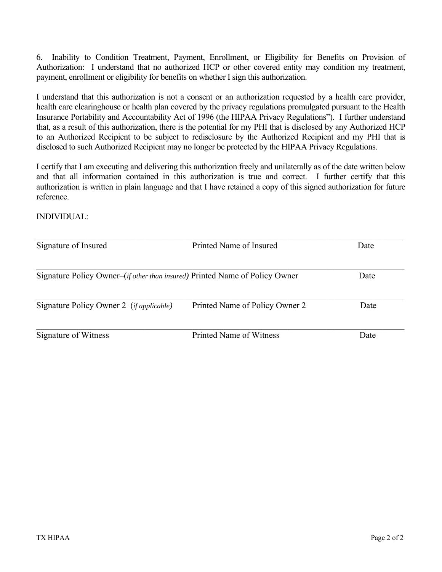6. Inability to Condition Treatment, Payment, Enrollment, or Eligibility for Benefits on Provision of Authorization: I understand that no authorized HCP or other covered entity may condition my treatment, payment, enrollment or eligibility for benefits on whether I sign this authorization.

I understand that this authorization is not a consent or an authorization requested by a health care provider, health care clearinghouse or health plan covered by the privacy regulations promulgated pursuant to the Health Insurance Portability and Accountability Act of 1996 (the HIPAA Privacy Regulations"). I further understand that, as a result of this authorization, there is the potential for my PHI that is disclosed by any Authorized HCP to an Authorized Recipient to be subject to redisclosure by the Authorized Recipient and my PHI that is disclosed to such Authorized Recipient may no longer be protected by the HIPAA Privacy Regulations.

I certify that I am executing and delivering this authorization freely and unilaterally as of the date written below and that all information contained in this authorization is true and correct. I further certify that this authorization is written in plain language and that I have retained a copy of this signed authorization for future reference.

INDIVIDUAL:

| Signature of Insured                                                                 | Printed Name of Insured        | Date |
|--------------------------------------------------------------------------------------|--------------------------------|------|
| Signature Policy Owner–( <i>if other than insured</i> ) Printed Name of Policy Owner | Date                           |      |
| Signature Policy Owner 2–( <i>if applicable</i> )                                    | Printed Name of Policy Owner 2 | Date |
| Signature of Witness                                                                 | <b>Printed Name of Witness</b> | Date |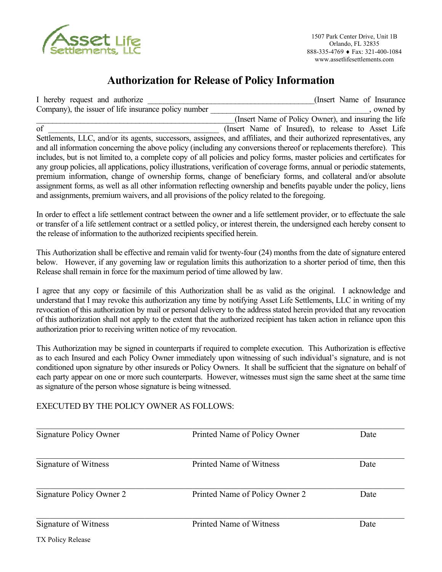

## **Authorization for Release of Policy Information**

| I hereby request and authorize                                                               | (Insert Name of Insurance)                                                                                                 |
|----------------------------------------------------------------------------------------------|----------------------------------------------------------------------------------------------------------------------------|
| Company), the issuer of life insurance policy number                                         | , owned by                                                                                                                 |
|                                                                                              | (Insert Name of Policy Owner), and insuring the life                                                                       |
| of                                                                                           | (Insert Name of Insured), to release to Asset Life                                                                         |
|                                                                                              | Settlements, LLC, and/or its agents, successors, assignees, and affiliates, and their authorized representatives, any      |
|                                                                                              | and all information concerning the above policy (including any conversions thereof or replacements therefore). This        |
|                                                                                              | includes, but is not limited to, a complete copy of all policies and policy forms, master policies and certificates for    |
|                                                                                              | any group policies, all applications, policy illustrations, verification of coverage forms, annual or periodic statements, |
|                                                                                              | premium information, change of ownership forms, change of beneficiary forms, and collateral and/or absolute                |
|                                                                                              | assignment forms, as well as all other information reflecting ownership and benefits payable under the policy, liens       |
| and assignments, premium waivers, and all provisions of the policy related to the foregoing. |                                                                                                                            |

In order to effect a life settlement contract between the owner and a life settlement provider, or to effectuate the sale or transfer of a life settlement contract or a settled policy, or interest therein, the undersigned each hereby consent to the release of information to the authorized recipients specified herein.

This Authorization shall be effective and remain valid for twenty-four (24) months from the date of signature entered below. However, if any governing law or regulation limits this authorization to a shorter period of time, then this Release shall remain in force for the maximum period of time allowed by law.

I agree that any copy or facsimile of this Authorization shall be as valid as the original. I acknowledge and understand that I may revoke this authorization any time by notifying Asset Life Settlements, LLC in writing of my revocation of this authorization by mail or personal delivery to the address stated herein provided that any revocation of this authorization shall not apply to the extent that the authorized recipient has taken action in reliance upon this authorization prior to receiving written notice of my revocation.

This Authorization may be signed in counterparts if required to complete execution. This Authorization is effective as to each Insured and each Policy Owner immediately upon witnessing of such individual's signature, and is not conditioned upon signature by other insureds or Policy Owners. It shall be sufficient that the signature on behalf of each party appear on one or more such counterparts. However, witnesses must sign the same sheet at the same time as signature of the person whose signature is being witnessed.

#### EXECUTED BY THE POLICY OWNER AS FOLLOWS:

| Signature Policy Owner   | Printed Name of Policy Owner   | Date |
|--------------------------|--------------------------------|------|
| Signature of Witness     | Printed Name of Witness        | Date |
| Signature Policy Owner 2 | Printed Name of Policy Owner 2 | Date |
| Signature of Witness     | <b>Printed Name of Witness</b> | Date |
| TX Policy Release        |                                |      |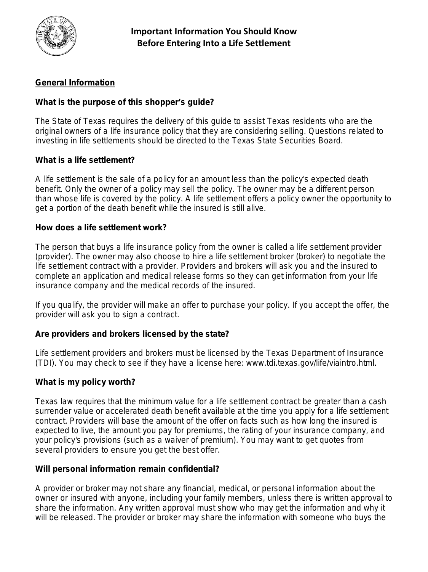

### **General Information**

#### **What is the purpose of this shopper's guide?**

The State of Texas requires the delivery of this guide to assist Texas residents who are the original owners of a life insurance policy that they are considering selling. Questions related to investing in life settlements should be directed to the Texas State Securities Board.

#### **What is a life settlement?**

A life settlement is the sale of a policy for an amount less than the policy's expected death benefit. Only the owner of a policy may sell the policy. The owner may be a different person than whose life is covered by the policy. A life settlement offers a policy owner the opportunity to get a portion of the death benefit while the insured is still alive.

#### **How does a life settlement work?**

The person that buys a life insurance policy from the owner is called a life settlement provider (provider). The owner may also choose to hire a life settlement broker (broker) to negotiate the life settlement contract with a provider. Providers and brokers will ask you and the insured to complete an application and medical release forms so they can get information from your life insurance company and the medical records of the insured.

If you qualify, the provider will make an offer to purchase your policy. If you accept the offer, the provider will ask you to sign a contract.

#### **Are providers and brokers licensed by the state?**

Life settlement providers and brokers must be licensed by the Texas Department of Insurance (TDI). You may check to see if they have a license here: www.tdi.texas.gov/life/viaintro.html.

#### **What is my policy worth?**

Texas law requires that the minimum value for a life settlement contract be greater than a cash surrender value or accelerated death benefit available at the time you apply for a life settlement contract. Providers will base the amount of the offer on facts such as how long the insured is expected to live, the amount you pay for premiums, the rating of your insurance company, and your policy's provisions (such as a waiver of premium). You may want to get quotes from several providers to ensure you get the best offer.

#### **Will personal information remain confidential?**

A provider or broker may not share any financial, medical, or personal information about the owner or insured with anyone, including your family members, unless there is written approval to share the information. Any written approval must show who may get the information and why it will be released. The provider or broker may share the information with someone who buys the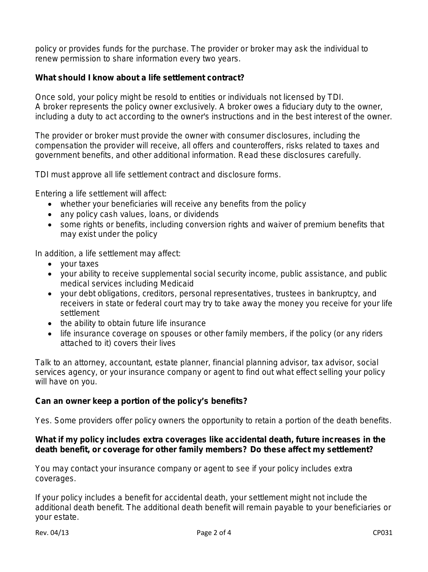policy or provides funds for the purchase. The provider or broker may ask the individual to renew permission to share information every two years.

#### **What should I know about a life settlement contract?**

Once sold, your policy might be resold to entities or individuals not licensed by TDI. A broker represents the policy owner exclusively. A broker owes a fiduciary duty to the owner, including a duty to act according to the owner's instructions and in the best interest of the owner.

The provider or broker must provide the owner with consumer disclosures, including the compensation the provider will receive, all offers and counteroffers, risks related to taxes and government benefits, and other additional information. Read these disclosures carefully.

TDI must approve all life settlement contract and disclosure forms.

Entering a life settlement will affect:

- whether your beneficiaries will receive any benefits from the policy
- any policy cash values, loans, or dividends
- some rights or benefits, including conversion rights and waiver of premium benefits that may exist under the policy

In addition, a life settlement may affect:

- your taxes
- your ability to receive supplemental social security income, public assistance, and public medical services including Medicaid
- your debt obligations, creditors, personal representatives, trustees in bankruptcy, and receivers in state or federal court may try to take away the money you receive for your life settlement
- the ability to obtain future life insurance
- life insurance coverage on spouses or other family members, if the policy (or any riders attached to it) covers their lives

Talk to an attorney, accountant, estate planner, financial planning advisor, tax advisor, social services agency, or your insurance company or agent to find out what effect selling your policy will have on you.

#### **Can an owner keep a portion of the policy's benefits?**

Yes. Some providers offer policy owners the opportunity to retain a portion of the death benefits.

#### **What if my policy includes extra coverages like accidental death, future increases in the death benefit, or coverage for other family members? Do these affect my settlement?**

You may contact your insurance company or agent to see if your policy includes extra coverages.

If your policy includes a benefit for accidental death, your settlement might not include the additional death benefit. The additional death benefit will remain payable to your beneficiaries or your estate.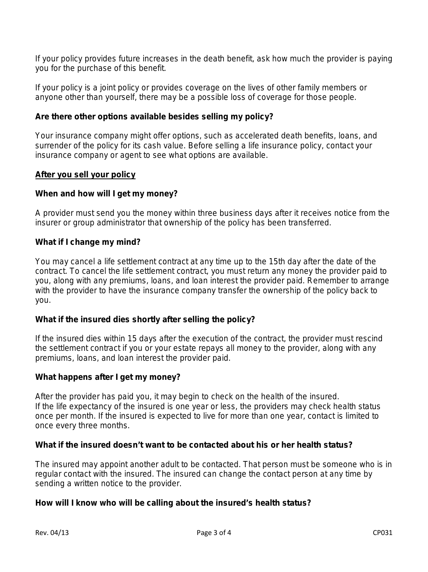If your policy provides future increases in the death benefit, ask how much the provider is paying you for the purchase of this benefit.

If your policy is a joint policy or provides coverage on the lives of other family members or anyone other than yourself, there may be a possible loss of coverage for those people.

#### **Are there other options available besides selling my policy?**

Your insurance company might offer options, such as accelerated death benefits, loans, and surrender of the policy for its cash value. Before selling a life insurance policy, contact your insurance company or agent to see what options are available.

#### **After you sell your policy**

#### **When and how will I get my money?**

A provider must send you the money within three business days after it receives notice from the insurer or group administrator that ownership of the policy has been transferred.

#### **What if I change my mind?**

You may cancel a life settlement contract at any time up to the 15th day after the date of the contract. To cancel the life settlement contract, you must return any money the provider paid to you, along with any premiums, loans, and loan interest the provider paid. Remember to arrange with the provider to have the insurance company transfer the ownership of the policy back to you.

#### **What if the insured dies shortly after selling the policy?**

If the insured dies within 15 days after the execution of the contract, the provider must rescind the settlement contract if you or your estate repays all money to the provider, along with any premiums, loans, and loan interest the provider paid.

#### **What happens after I get my money?**

After the provider has paid you, it may begin to check on the health of the insured. If the life expectancy of the insured is one year or less, the providers may check health status once per month. If the insured is expected to live for more than one year, contact is limited to once every three months.

#### **What if the insured doesn't want to be contacted about his or her health status?**

The insured may appoint another adult to be contacted. That person must be someone who is in regular contact with the insured. The insured can change the contact person at any time by sending a written notice to the provider.

#### **How will I know who will be calling about the insured's health status?**